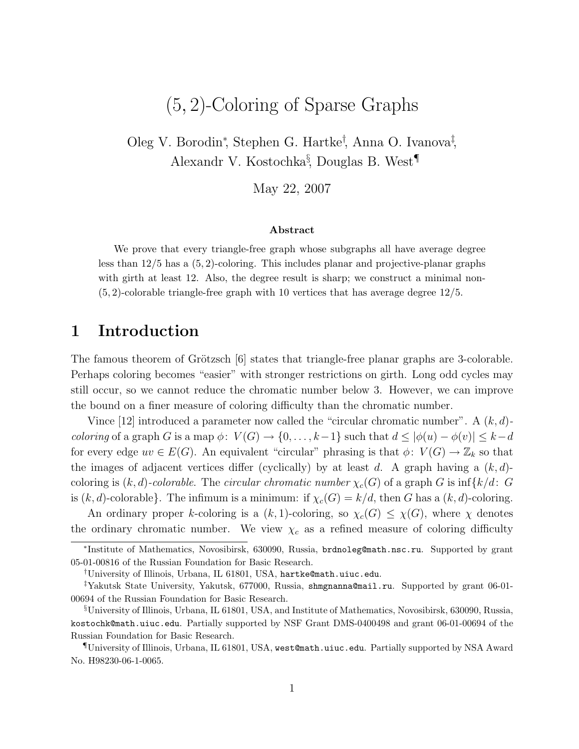# (5, 2)-Coloring of Sparse Graphs

Oleg V. Borodin<sup>∗</sup> , Stephen G. Hartke† , Anna O. Ivanova‡ , Alexandr V. Kostochka§ , Douglas B. West¶

May 22, 2007

#### Abstract

We prove that every triangle-free graph whose subgraphs all have average degree less than 12/5 has a (5, 2)-coloring. This includes planar and projective-planar graphs with girth at least 12. Also, the degree result is sharp; we construct a minimal non-(5, 2)-colorable triangle-free graph with 10 vertices that has average degree 12/5.

### 1 Introduction

The famous theorem of Grötzsch [6] states that triangle-free planar graphs are 3-colorable. Perhaps coloring becomes "easier" with stronger restrictions on girth. Long odd cycles may still occur, so we cannot reduce the chromatic number below 3. However, we can improve the bound on a finer measure of coloring difficulty than the chromatic number.

Vince [12] introduced a parameter now called the "circular chromatic number". A  $(k, d)$ coloring of a graph G is a map  $\phi: V(G) \to \{0, \ldots, k-1\}$  such that  $d \leq |\phi(u) - \phi(v)| \leq k-d$ for every edge  $uv \in E(G)$ . An equivalent "circular" phrasing is that  $\phi: V(G) \to \mathbb{Z}_k$  so that the images of adjacent vertices differ (cyclically) by at least d. A graph having a  $(k, d)$ coloring is  $(k, d)$ -colorable. The circular chromatic number  $\chi_c(G)$  of a graph G is inf $\{k/d: G\}$ is  $(k, d)$ -colorable}. The infimum is a minimum: if  $\chi_c(G) = k/d$ , then G has a  $(k, d)$ -coloring.

An ordinary proper k-coloring is a  $(k, 1)$ -coloring, so  $\chi_c(G) \leq \chi(G)$ , where  $\chi$  denotes the ordinary chromatic number. We view  $\chi_c$  as a refined measure of coloring difficulty

<sup>∗</sup> Institute of Mathematics, Novosibirsk, 630090, Russia, brdnoleg@math.nsc.ru. Supported by grant 05-01-00816 of the Russian Foundation for Basic Research.

<sup>†</sup>University of Illinois, Urbana, IL 61801, USA, hartke@math.uiuc.edu.

<sup>‡</sup>Yakutsk State University, Yakutsk, 677000, Russia, shmgnanna@mail.ru. Supported by grant 06-01- 00694 of the Russian Foundation for Basic Research.

<sup>§</sup>University of Illinois, Urbana, IL 61801, USA, and Institute of Mathematics, Novosibirsk, 630090, Russia, kostochk@math.uiuc.edu. Partially supported by NSF Grant DMS-0400498 and grant 06-01-00694 of the Russian Foundation for Basic Research.

<sup>¶</sup>University of Illinois, Urbana, IL 61801, USA, west@math.uiuc.edu. Partially supported by NSA Award No. H98230-06-1-0065.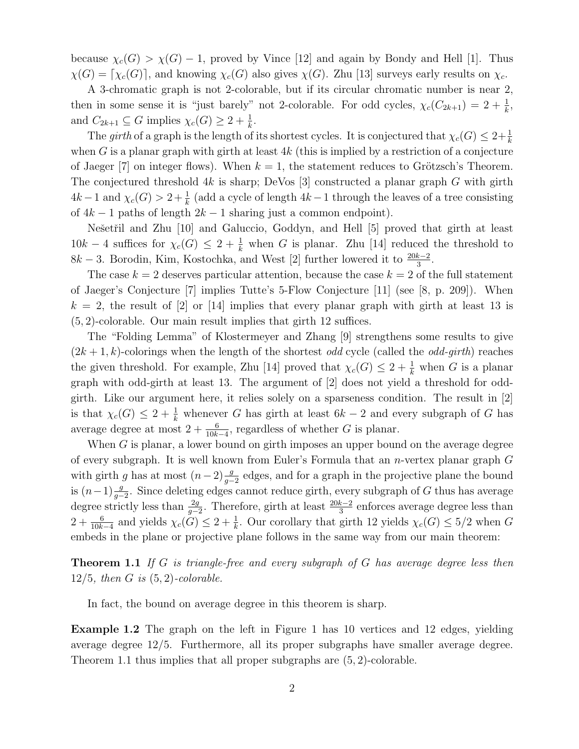because  $\chi_c(G) > \chi(G) - 1$ , proved by Vince [12] and again by Bondy and Hell [1]. Thus  $\chi(G) = [\chi_c(G)]$ , and knowing  $\chi_c(G)$  also gives  $\chi(G)$ . Zhu [13] surveys early results on  $\chi_c$ .

A 3-chromatic graph is not 2-colorable, but if its circular chromatic number is near 2, then in some sense it is "just barely" not 2-colorable. For odd cycles,  $\chi_c(C_{2k+1}) = 2 + \frac{1}{k}$ , and  $C_{2k+1} \subseteq G$  implies  $\chi_c(G) \geq 2 + \frac{1}{k}$ .

The girth of a graph is the length of its shortest cycles. It is conjectured that  $\chi_c(G) \leq 2 + \frac{1}{k}$ when G is a planar graph with girth at least  $4k$  (this is implied by a restriction of a conjecture of Jaeger  $[7]$  on integer flows). When  $k = 1$ , the statement reduces to Grötzsch's Theorem. The conjectured threshold  $4k$  is sharp; DeVos [3] constructed a planar graph G with girth  $4k-1$  and  $\chi_c(G) > 2 + \frac{1}{k}$  (add a cycle of length  $4k-1$  through the leaves of a tree consisting of  $4k - 1$  paths of length  $2k - 1$  sharing just a common endpoint).

Nešetřil and Zhu [10] and Galuccio, Goddyn, and Hell [5] proved that girth at least  $10k-4$  suffices for  $\chi_c(G) \leq 2+\frac{1}{k}$  when G is planar. Zhu [14] reduced the threshold to  $8k - 3$ . Borodin, Kim, Kostochka, and West [2] further lowered it to  $\frac{20k-2}{3}$ .

The case  $k = 2$  deserves particular attention, because the case  $k = 2$  of the full statement of Jaeger's Conjecture [7] implies Tutte's 5-Flow Conjecture [11] (see [8, p. 209]). When  $k = 2$ , the result of [2] or [14] implies that every planar graph with girth at least 13 is (5, 2)-colorable. Our main result implies that girth 12 suffices.

The "Folding Lemma" of Klostermeyer and Zhang [9] strengthens some results to give  $(2k+1, k)$ -colorings when the length of the shortest *odd* cycle (called the *odd-girth*) reaches the given threshold. For example, Zhu [14] proved that  $\chi_c(G) \leq 2 + \frac{1}{k}$  when G is a planar graph with odd-girth at least 13. The argument of [2] does not yield a threshold for oddgirth. Like our argument here, it relies solely on a sparseness condition. The result in [2] is that  $\chi_c(G) \leq 2 + \frac{1}{k}$  whenever G has girth at least  $6k - 2$  and every subgraph of G has average degree at most  $2 + \frac{6}{10k-4}$ , regardless of whether G is planar.

When G is planar, a lower bound on girth imposes an upper bound on the average degree of every subgraph. It is well known from Euler's Formula that an *n*-vertex planar graph  $G$ with girth g has at most  $(n-2)\frac{g}{g-2}$  edges, and for a graph in the projective plane the bound is  $(n-1)\frac{g}{g-2}$ . Since deleting edges cannot reduce girth, every subgraph of G thus has average degree strictly less than  $\frac{2g}{g-2}$ . Therefore, girth at least  $\frac{20k-2}{3}$  enforces average degree less than  $2+\frac{6}{10k-4}$  and yields  $\chi_c(G) \leq 2+\frac{1}{k}$ . Our corollary that girth 12 yields  $\chi_c(G) \leq 5/2$  when G embeds in the plane or projective plane follows in the same way from our main theorem:

**Theorem 1.1** If G is triangle-free and every subgraph of G has average degree less then  $12/5$ , then G is  $(5, 2)$ -colorable.

In fact, the bound on average degree in this theorem is sharp.

Example 1.2 The graph on the left in Figure 1 has 10 vertices and 12 edges, yielding average degree 12/5. Furthermore, all its proper subgraphs have smaller average degree. Theorem 1.1 thus implies that all proper subgraphs are (5, 2)-colorable.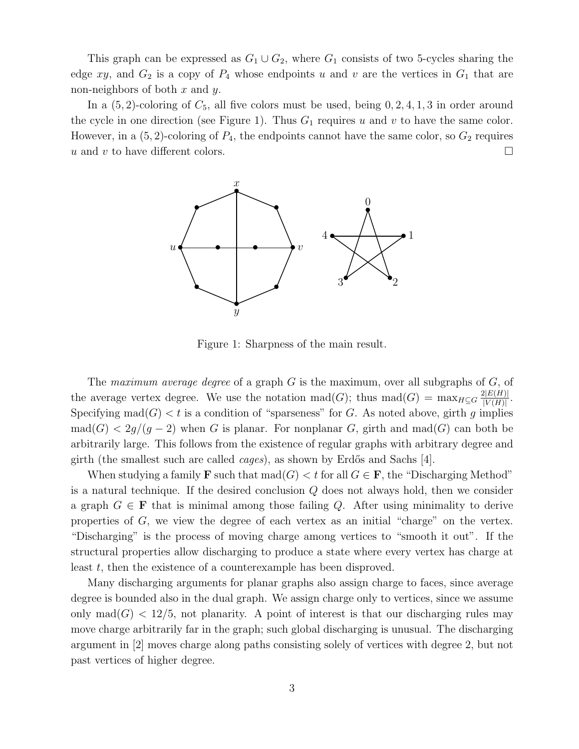This graph can be expressed as  $G_1 \cup G_2$ , where  $G_1$  consists of two 5-cycles sharing the edge xy, and  $G_2$  is a copy of  $P_4$  whose endpoints u and v are the vertices in  $G_1$  that are non-neighbors of both  $x$  and  $y$ .

In a  $(5, 2)$ -coloring of  $C_5$ , all five colors must be used, being 0, 2, 4, 1, 3 in order around the cycle in one direction (see Figure 1). Thus  $G_1$  requires u and v to have the same color. However, in a  $(5, 2)$ -coloring of  $P_4$ , the endpoints cannot have the same color, so  $G_2$  requires u and v to have different colors.  $\Box$ 



Figure 1: Sharpness of the main result.

The maximum average degree of a graph G is the maximum, over all subgraphs of  $G$ , of the average vertex degree. We use the notation mad(G); thus mad(G) =  $\max_{H \subseteq G} \frac{2|E(H)|}{|V(H)|}$  $\frac{Z|E(H)|}{|V(H)|}$ . Specifying  $\text{mad}(G) < t$  is a condition of "sparseness" for G. As noted above, girth q implies  $\text{mad}(G) < 2g/(g-2)$  when G is planar. For nonplanar G, girth and mad(G) can both be arbitrarily large. This follows from the existence of regular graphs with arbitrary degree and girth (the smallest such are called *cages*), as shown by Erdős and Sachs [4].

When studying a family **F** such that  $\text{mad}(G) < t$  for all  $G \in \mathbf{F}$ , the "Discharging Method" is a natural technique. If the desired conclusion Q does not always hold, then we consider a graph  $G \in \mathbf{F}$  that is minimal among those failing Q. After using minimality to derive properties of  $G$ , we view the degree of each vertex as an initial "charge" on the vertex. "Discharging" is the process of moving charge among vertices to "smooth it out". If the structural properties allow discharging to produce a state where every vertex has charge at least t, then the existence of a counterexample has been disproved.

Many discharging arguments for planar graphs also assign charge to faces, since average degree is bounded also in the dual graph. We assign charge only to vertices, since we assume only mad $(G)$  < 12/5, not planarity. A point of interest is that our discharging rules may move charge arbitrarily far in the graph; such global discharging is unusual. The discharging argument in [2] moves charge along paths consisting solely of vertices with degree 2, but not past vertices of higher degree.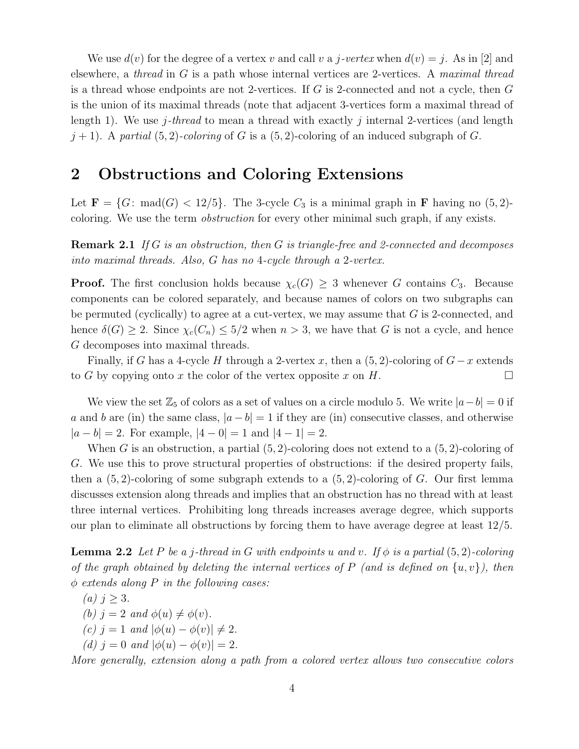We use  $d(v)$  for the degree of a vertex v and call v a j-vertex when  $d(v) = j$ . As in [2] and elsewhere, a thread in G is a path whose internal vertices are 2-vertices. A maximal thread is a thread whose endpoints are not 2-vertices. If  $G$  is 2-connected and not a cycle, then  $G$ is the union of its maximal threads (note that adjacent 3-vertices form a maximal thread of length 1). We use j-thread to mean a thread with exactly j internal 2-vertices (and length  $j + 1$ . A partial  $(5, 2)$ -coloring of G is a  $(5, 2)$ -coloring of an induced subgraph of G.

### 2 Obstructions and Coloring Extensions

Let  $\mathbf{F} = \{G: \text{mad}(G) < 12/5\}$ . The 3-cycle  $C_3$  is a minimal graph in **F** having no  $(5, 2)$ coloring. We use the term obstruction for every other minimal such graph, if any exists.

**Remark 2.1** If G is an obstruction, then G is triangle-free and 2-connected and decomposes into maximal threads. Also, G has no 4-cycle through a 2-vertex.

**Proof.** The first conclusion holds because  $\chi_c(G) \geq 3$  whenever G contains  $C_3$ . Because components can be colored separately, and because names of colors on two subgraphs can be permuted (cyclically) to agree at a cut-vertex, we may assume that  $G$  is 2-connected, and hence  $\delta(G) \geq 2$ . Since  $\chi_c(C_n) \leq 5/2$  when  $n > 3$ , we have that G is not a cycle, and hence G decomposes into maximal threads.

Finally, if G has a 4-cycle H through a 2-vertex x, then a  $(5, 2)$ -coloring of  $G-x$  extends to G by copying onto x the color of the vertex opposite x on H.

We view the set  $\mathbb{Z}_5$  of colors as a set of values on a circle modulo 5. We write  $|a-b|=0$  if a and b are (in) the same class,  $|a - b| = 1$  if they are (in) consecutive classes, and otherwise  $|a - b| = 2$ . For example,  $|4 - 0| = 1$  and  $|4 - 1| = 2$ .

When G is an obstruction, a partial  $(5, 2)$ -coloring does not extend to a  $(5, 2)$ -coloring of G. We use this to prove structural properties of obstructions: if the desired property fails, then a  $(5, 2)$ -coloring of some subgraph extends to a  $(5, 2)$ -coloring of G. Our first lemma discusses extension along threads and implies that an obstruction has no thread with at least three internal vertices. Prohibiting long threads increases average degree, which supports our plan to eliminate all obstructions by forcing them to have average degree at least 12/5.

**Lemma 2.2** Let P be a j-thread in G with endpoints u and v. If  $\phi$  is a partial (5,2)-coloring of the graph obtained by deleting the internal vertices of P (and is defined on  $\{u, v\}$ ), then  $\phi$  extends along P in the following cases:

(a) 
$$
j \geq 3
$$
.

(b)  $j = 2$  and  $\phi(u) \neq \phi(v)$ .

- (c) j = 1 and  $|\phi(u) \phi(v)| \neq 2$ .
- (d)  $j = 0$  and  $|\phi(u) \phi(v)| = 2$ .

More generally, extension along a path from a colored vertex allows two consecutive colors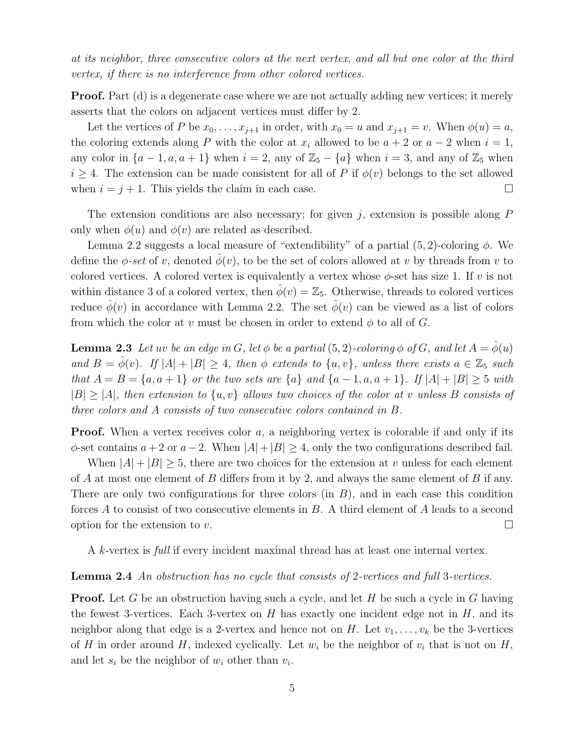at its neighbor, three consecutive colors at the next vertex, and all but one color at the third vertex, if there is no interference from other colored vertices.

Proof. Part (d) is a degenerate case where we are not actually adding new vertices; it merely asserts that the colors on adjacent vertices must differ by 2.

Let the vertices of P be  $x_0, \ldots, x_{j+1}$  in order, with  $x_0 = u$  and  $x_{j+1} = v$ . When  $\phi(u) = a$ , the coloring extends along P with the color at  $x_i$  allowed to be  $a + 2$  or  $a - 2$  when  $i = 1$ , any color in  $\{a-1, a, a+1\}$  when  $i=2$ , any of  $\mathbb{Z}_5 - \{a\}$  when  $i=3$ , and any of  $\mathbb{Z}_5$  when  $i \geq 4$ . The extension can be made consistent for all of P if  $\phi(v)$  belongs to the set allowed when  $i = j + 1$ . This yields the claim in each case.

The extension conditions are also necessary; for given  $j$ , extension is possible along  $P$ only when  $\phi(u)$  and  $\phi(v)$  are related as described.

Lemma 2.2 suggests a local measure of "extendibility" of a partial  $(5, 2)$ -coloring  $\phi$ . We define the  $\phi$ -set of v, denoted  $\hat{\phi}(v)$ , to be the set of colors allowed at v by threads from v to colored vertices. A colored vertex is equivalently a vertex whose  $\phi$ -set has size 1. If v is not within distance 3 of a colored vertex, then  $\hat{\phi}(v) = \mathbb{Z}_5$ . Otherwise, threads to colored vertices reduce  $\hat{\phi}(v)$  in accordance with Lemma 2.2. The set  $\hat{\phi}(v)$  can be viewed as a list of colors from which the color at v must be chosen in order to extend  $\phi$  to all of G.

**Lemma 2.3** Let uv be an edge in G, let  $\phi$  be a partial (5, 2)-coloring  $\phi$  of G, and let  $A = \phi(u)$ and  $B = \hat{\phi}(v)$ . If  $|A| + |B| \geq 4$ , then  $\phi$  extends to  $\{u, v\}$ , unless there exists  $a \in \mathbb{Z}_5$  such that  $A = B = \{a, a + 1\}$  or the two sets are  $\{a\}$  and  $\{a - 1, a, a + 1\}$ . If  $|A| + |B| \geq 5$  with  $|B| \geq |A|$ , then extension to  $\{u, v\}$  allows two choices of the color at v unless B consists of three colors and A consists of two consecutive colors contained in B.

**Proof.** When a vertex receives color a, a neighboring vertex is colorable if and only if its  $\phi$ -set contains  $a+2$  or  $a-2$ . When  $|A|+|B|\geq 4$ , only the two configurations described fail.

When  $|A| + |B| \geq 5$ , there are two choices for the extension at v unless for each element of A at most one element of B differs from it by 2, and always the same element of B if any. There are only two configurations for three colors  $(in B)$ , and in each case this condition forces A to consist of two consecutive elements in B. A third element of A leads to a second option for the extension to v.  $\Box$ 

A k-vertex is full if every incident maximal thread has at least one internal vertex.

#### Lemma 2.4 An obstruction has no cycle that consists of 2-vertices and full 3-vertices.

**Proof.** Let G be an obstruction having such a cycle, and let H be such a cycle in G having the fewest 3-vertices. Each 3-vertex on  $H$  has exactly one incident edge not in  $H$ , and its neighbor along that edge is a 2-vertex and hence not on H. Let  $v_1, \ldots, v_k$  be the 3-vertices of H in order around H, indexed cyclically. Let  $w_i$  be the neighbor of  $v_i$  that is not on H, and let  $s_i$  be the neighbor of  $w_i$  other than  $v_i$ .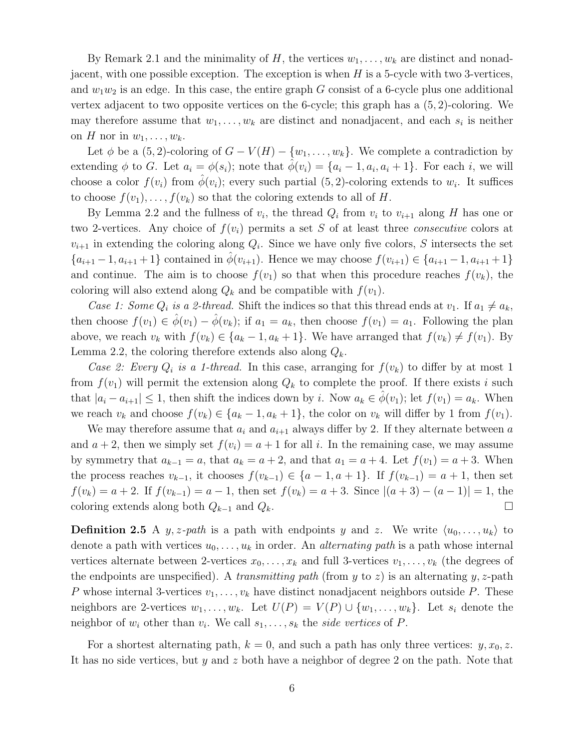By Remark 2.1 and the minimality of H, the vertices  $w_1, \ldots, w_k$  are distinct and nonadjacent, with one possible exception. The exception is when  $H$  is a 5-cycle with two 3-vertices, and  $w_1w_2$  is an edge. In this case, the entire graph G consist of a 6-cycle plus one additional vertex adjacent to two opposite vertices on the 6-cycle; this graph has a  $(5, 2)$ -coloring. We may therefore assume that  $w_1, \ldots, w_k$  are distinct and nonadjacent, and each  $s_i$  is neither on H nor in  $w_1, \ldots, w_k$ .

Let  $\phi$  be a (5,2)-coloring of  $G - V(H) - \{w_1, \ldots, w_k\}$ . We complete a contradiction by extending  $\phi$  to G. Let  $a_i = \phi(s_i)$ ; note that  $\hat{\phi}(v_i) = \{a_i - 1, a_i, a_i + 1\}$ . For each i, we will choose a color  $f(v_i)$  from  $\hat{\phi}(v_i)$ ; every such partial  $(5, 2)$ -coloring extends to  $w_i$ . It suffices to choose  $f(v_1), \ldots, f(v_k)$  so that the coloring extends to all of H.

By Lemma 2.2 and the fullness of  $v_i$ , the thread  $Q_i$  from  $v_i$  to  $v_{i+1}$  along H has one or two 2-vertices. Any choice of  $f(v_i)$  permits a set S of at least three *consecutive* colors at  $v_{i+1}$  in extending the coloring along  $Q_i$ . Since we have only five colors, S intersects the set  ${a_{i+1}-1, a_{i+1}+1}$  contained in  $\phi(v_{i+1})$ . Hence we may choose  $f(v_{i+1}) \in {a_{i+1}-1, a_{i+1}+1}$ and continue. The aim is to choose  $f(v_1)$  so that when this procedure reaches  $f(v_k)$ , the coloring will also extend along  $Q_k$  and be compatible with  $f(v_1)$ .

Case 1: Some  $Q_i$  is a 2-thread. Shift the indices so that this thread ends at  $v_1$ . If  $a_1 \neq a_k$ , then choose  $f(v_1) \in \hat{\phi}(v_1) - \hat{\phi}(v_k)$ ; if  $a_1 = a_k$ , then choose  $f(v_1) = a_1$ . Following the plan above, we reach  $v_k$  with  $f(v_k) \in \{a_k - 1, a_k + 1\}$ . We have arranged that  $f(v_k) \neq f(v_1)$ . By Lemma 2.2, the coloring therefore extends also along  $Q_k$ .

Case 2: Every  $Q_i$  is a 1-thread. In this case, arranging for  $f(v_k)$  to differ by at most 1 from  $f(v_1)$  will permit the extension along  $Q_k$  to complete the proof. If there exists i such that  $|a_i - a_{i+1}| \leq 1$ , then shift the indices down by i. Now  $a_k \in \phi(v_1)$ ; let  $f(v_1) = a_k$ . When we reach  $v_k$  and choose  $f(v_k) \in \{a_k - 1, a_k + 1\}$ , the color on  $v_k$  will differ by 1 from  $f(v_1)$ .

We may therefore assume that  $a_i$  and  $a_{i+1}$  always differ by 2. If they alternate between a and  $a + 2$ , then we simply set  $f(v_i) = a + 1$  for all i. In the remaining case, we may assume by symmetry that  $a_{k-1} = a$ , that  $a_k = a + 2$ , and that  $a_1 = a + 4$ . Let  $f(v_1) = a + 3$ . When the process reaches  $v_{k-1}$ , it chooses  $f(v_{k-1}) \in \{a-1, a+1\}$ . If  $f(v_{k-1}) = a+1$ , then set  $f(v_k) = a + 2$ . If  $f(v_{k-1}) = a - 1$ , then set  $f(v_k) = a + 3$ . Since  $|(a + 3) - (a - 1)| = 1$ , the coloring extends along both  $Q_{k-1}$  and  $Q_k$ .

**Definition 2.5** A y, z-path is a path with endpoints y and z. We write  $\langle u_0, \ldots, u_k \rangle$  to denote a path with vertices  $u_0, \ldots, u_k$  in order. An *alternating path* is a path whose internal vertices alternate between 2-vertices  $x_0, \ldots, x_k$  and full 3-vertices  $v_1, \ldots, v_k$  (the degrees of the endpoints are unspecified). A transmitting path (from y to z) is an alternating y, z-path P whose internal 3-vertices  $v_1, \ldots, v_k$  have distinct nonadjacent neighbors outside P. These neighbors are 2-vertices  $w_1, \ldots, w_k$ . Let  $U(P) = V(P) \cup \{w_1, \ldots, w_k\}$ . Let  $s_i$  denote the neighbor of  $w_i$  other than  $v_i$ . We call  $s_1, \ldots, s_k$  the *side vertices* of P.

For a shortest alternating path,  $k = 0$ , and such a path has only three vertices:  $y, x_0, z$ . It has no side vertices, but y and z both have a neighbor of degree 2 on the path. Note that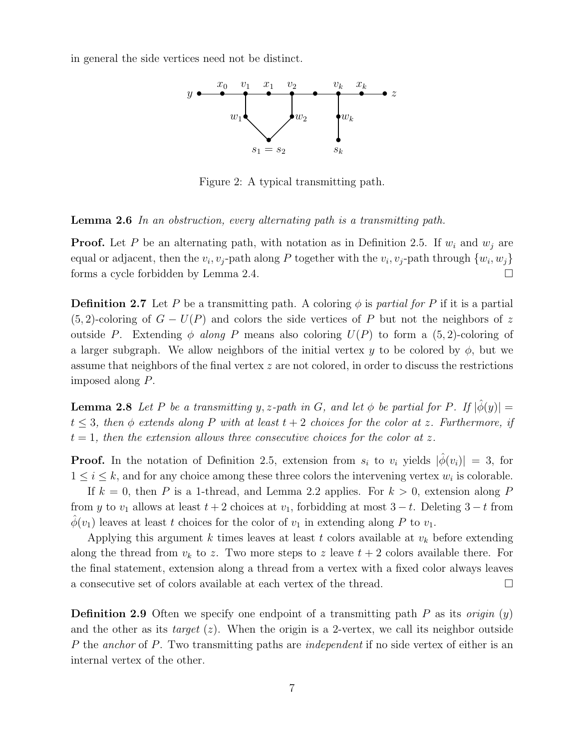in general the side vertices need not be distinct.



Figure 2: A typical transmitting path.

Lemma 2.6 In an obstruction, every alternating path is a transmitting path.

**Proof.** Let P be an alternating path, with notation as in Definition 2.5. If  $w_i$  and  $w_j$  are equal or adjacent, then the  $v_i, v_j$ -path along P together with the  $v_i, v_j$ -path through  $\{w_i, w_j\}$ forms a cycle forbidden by Lemma 2.4.

**Definition 2.7** Let P be a transmitting path. A coloring  $\phi$  is partial for P if it is a partial  $(5, 2)$ -coloring of  $G - U(P)$  and colors the side vertices of P but not the neighbors of z outside P. Extending  $\phi$  along P means also coloring  $U(P)$  to form a (5,2)-coloring of a larger subgraph. We allow neighbors of the initial vertex y to be colored by  $\phi$ , but we assume that neighbors of the final vertex  $z$  are not colored, in order to discuss the restrictions imposed along P.

**Lemma 2.8** Let P be a transmitting y, z-path in G, and let  $\phi$  be partial for P. If  $|\hat{\phi}(y)| =$  $t \leq 3$ , then  $\phi$  extends along P with at least  $t + 2$  choices for the color at z. Furthermore, if  $t = 1$ , then the extension allows three consecutive choices for the color at z.

**Proof.** In the notation of Definition 2.5, extension from  $s_i$  to  $v_i$  yields  $|\phi(v_i)| = 3$ , for  $1 \leq i \leq k$ , and for any choice among these three colors the intervening vertex  $w_i$  is colorable.

If  $k = 0$ , then P is a 1-thread, and Lemma 2.2 applies. For  $k > 0$ , extension along P from y to  $v_1$  allows at least  $t + 2$  choices at  $v_1$ , forbidding at most  $3 - t$ . Deleting  $3 - t$  from  $\phi(v_1)$  leaves at least t choices for the color of  $v_1$  in extending along P to  $v_1$ .

Applying this argument k times leaves at least t colors available at  $v_k$  before extending along the thread from  $v_k$  to z. Two more steps to z leave  $t + 2$  colors available there. For the final statement, extension along a thread from a vertex with a fixed color always leaves a consecutive set of colors available at each vertex of the thread.

**Definition 2.9** Often we specify one endpoint of a transmitting path P as its *origin*  $(y)$ and the other as its *target*  $(z)$ . When the origin is a 2-vertex, we call its neighbor outside P the anchor of P. Two transmitting paths are *independent* if no side vertex of either is an internal vertex of the other.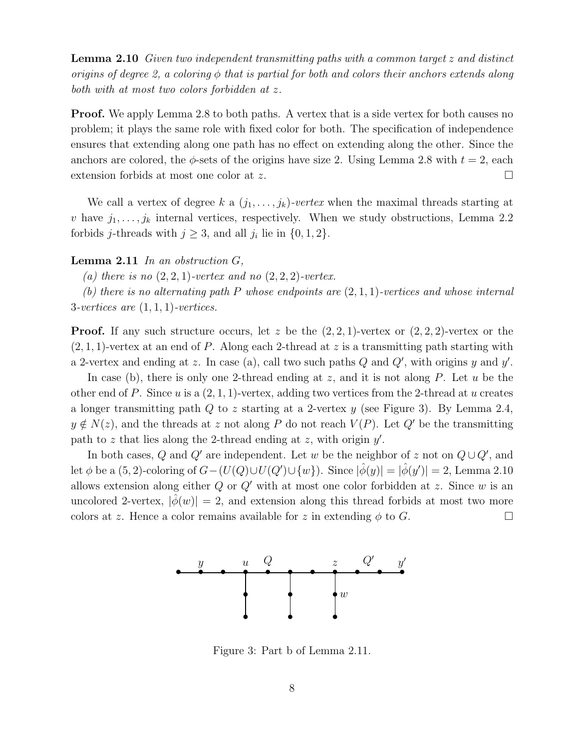Lemma 2.10 Given two independent transmitting paths with a common target z and distinct origins of degree 2, a coloring  $\phi$  that is partial for both and colors their anchors extends along both with at most two colors forbidden at z.

**Proof.** We apply Lemma 2.8 to both paths. A vertex that is a side vertex for both causes no problem; it plays the same role with fixed color for both. The specification of independence ensures that extending along one path has no effect on extending along the other. Since the anchors are colored, the  $\phi$ -sets of the origins have size 2. Using Lemma 2.8 with  $t = 2$ , each extension forbids at most one color at z.

We call a vertex of degree k a  $(j_1, \ldots, j_k)$ -vertex when the maximal threads starting at v have  $j_1, \ldots, j_k$  internal vertices, respectively. When we study obstructions, Lemma 2.2 forbids *j*-threads with  $j \geq 3$ , and all  $j_i$  lie in  $\{0, 1, 2\}$ .

#### **Lemma 2.11** In an obstruction  $G$ ,

(a) there is no  $(2, 2, 1)$ -vertex and no  $(2, 2, 2)$ -vertex.

(b) there is no alternating path P whose endpoints are  $(2,1,1)$ -vertices and whose internal 3-vertices are  $(1, 1, 1)$ -vertices.

**Proof.** If any such structure occurs, let z be the  $(2, 2, 1)$ -vertex or  $(2, 2, 2)$ -vertex or the  $(2, 1, 1)$ -vertex at an end of P. Along each 2-thread at z is a transmitting path starting with a 2-vertex and ending at z. In case (a), call two such paths  $Q$  and  $Q'$ , with origins  $y$  and  $y'$ .

In case (b), there is only one 2-thread ending at z, and it is not along P. Let  $u$  be the other end of P. Since u is a  $(2, 1, 1)$ -vertex, adding two vertices from the 2-thread at u creates a longer transmitting path  $Q$  to z starting at a 2-vertex  $y$  (see Figure 3). By Lemma 2.4,  $y \notin N(z)$ , and the threads at z not along P do not reach  $V(P)$ . Let Q' be the transmitting path to z that lies along the 2-thread ending at z, with origin  $y'$ .

In both cases, Q and Q' are independent. Let w be the neighbor of z not on  $Q \cup Q'$ , and let  $\phi$  be a  $(5, 2)$ -coloring of  $G - (U(Q) \cup U(Q') \cup \{w\})$ . Since  $|\hat{\phi}(y)| = |\hat{\phi}(y')| = 2$ , Lemma 2.10 allows extension along either  $Q$  or  $Q'$  with at most one color forbidden at z. Since w is an uncolored 2-vertex,  $|\phi(w)| = 2$ , and extension along this thread forbids at most two more colors at z. Hence a color remains available for z in extending  $\phi$  to G.



Figure 3: Part b of Lemma 2.11.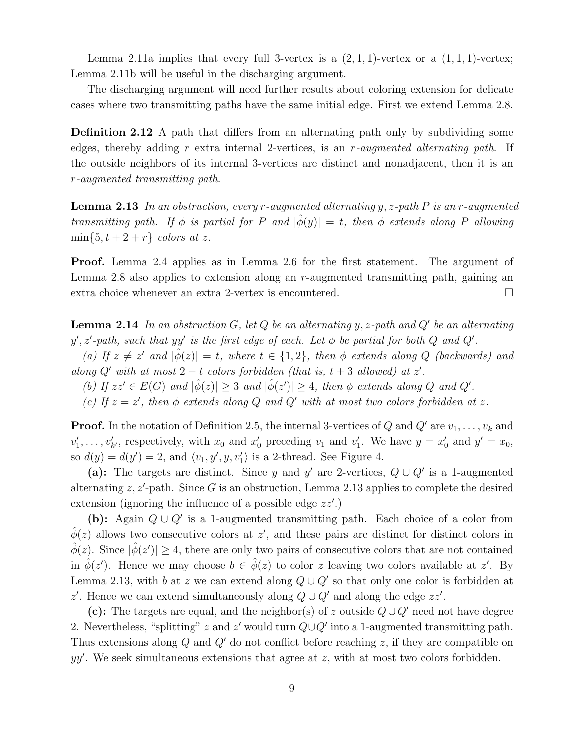Lemma 2.11a implies that every full 3-vertex is a  $(2, 1, 1)$ -vertex or a  $(1, 1, 1)$ -vertex; Lemma 2.11b will be useful in the discharging argument.

The discharging argument will need further results about coloring extension for delicate cases where two transmitting paths have the same initial edge. First we extend Lemma 2.8.

Definition 2.12 A path that differs from an alternating path only by subdividing some edges, thereby adding r extra internal 2-vertices, is an r-augmented alternating path. If the outside neighbors of its internal 3-vertices are distinct and nonadjacent, then it is an r-augmented transmitting path.

**Lemma 2.13** In an obstruction, every r-augmented alternating y, z-path P is an r-augmented transmitting path. If  $\phi$  is partial for P and  $|\hat{\phi}(y)| = t$ , then  $\phi$  extends along P allowing  $\min\{5, t+2+r\}$  colors at z.

Proof. Lemma 2.4 applies as in Lemma 2.6 for the first statement. The argument of Lemma 2.8 also applies to extension along an r-augmented transmitting path, gaining an extra choice whenever an extra 2-vertex is encountered.

**Lemma 2.14** In an obstruction  $G$ , let  $Q$  be an alternating y, z-path and  $Q'$  be an alternating y', z'-path, such that yy' is the first edge of each. Let  $\phi$  be partial for both Q and Q'.

(a) If  $z \neq z'$  and  $|\hat{\phi}(z)| = t$ , where  $t \in \{1, 2\}$ , then  $\phi$  extends along Q (backwards) and along  $Q'$  with at most  $2-t$  colors forbidden (that is,  $t+3$  allowed) at  $z'$ .

(b) If  $zz' \in E(G)$  and  $|\hat{\phi}(z)| \geq 3$  and  $|\hat{\phi}(z')| \geq 4$ , then  $\phi$  extends along Q and Q'.

(c) If  $z = z'$ , then  $\phi$  extends along Q and Q' with at most two colors forbidden at z.

**Proof.** In the notation of Definition 2.5, the internal 3-vertices of Q and Q' are  $v_1, \ldots, v_k$  and  $v'_1, \ldots, v'_{k'}$ , respectively, with  $x_0$  and  $x'_0$  preceding  $v_1$  and  $v'_1$ . We have  $y = x'_0$  and  $y' = x_0$ , so  $d(y) = d(y') = 2$ , and  $\langle v_1, y', y, v_1' \rangle$  is a 2-thread. See Figure 4.

(a): The targets are distinct. Since y and y' are 2-vertices,  $Q \cup Q'$  is a 1-augmented alternating  $z, z'$ -path. Since G is an obstruction, Lemma 2.13 applies to complete the desired extension (ignoring the influence of a possible edge  $zz'$ .)

(b): Again  $Q \cup Q'$  is a 1-augmented transmitting path. Each choice of a color from  $\hat{\phi}(z)$  allows two consecutive colors at z', and these pairs are distinct for distinct colors in  $\hat{\phi}(z)$ . Since  $|\hat{\phi}(z')| \geq 4$ , there are only two pairs of consecutive colors that are not contained in  $\hat{\phi}(z')$ . Hence we may choose  $b \in \hat{\phi}(z)$  to color z leaving two colors available at z'. By Lemma 2.13, with b at z we can extend along  $Q \cup Q'$  so that only one color is forbidden at z'. Hence we can extend simultaneously along  $Q \cup Q'$  and along the edge zz'.

(c): The targets are equal, and the neighbor(s) of z outside  $Q \cup Q'$  need not have degree 2. Nevertheless, "splitting" z and z' would turn  $Q\cup Q'$  into a 1-augmented transmitting path. Thus extensions along  $Q$  and  $Q'$  do not conflict before reaching z, if they are compatible on yy'. We seek simultaneous extensions that agree at z, with at most two colors forbidden.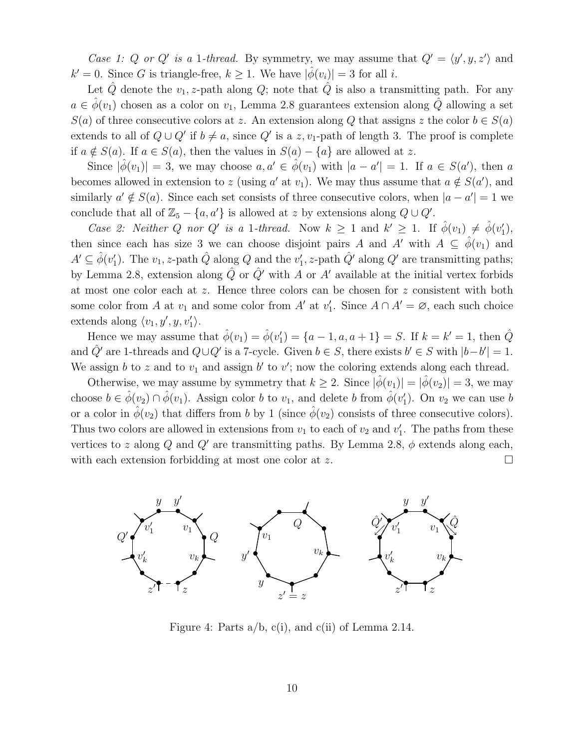Case 1: Q or Q' is a 1-thread. By symmetry, we may assume that  $Q' = \langle y', y, z' \rangle$  and  $k' = 0$ . Since G is triangle-free,  $k \geq 1$ . We have  $|\hat{\phi}(v_i)| = 3$  for all i.

Let  $\hat{Q}$  denote the  $v_1$ , z-path along  $Q$ ; note that  $\hat{Q}$  is also a transmitting path. For any  $a \in \phi(v_1)$  chosen as a color on  $v_1$ , Lemma 2.8 guarantees extension along Q allowing a set  $S(a)$  of three consecutive colors at z. An extension along Q that assigns z the color  $b \in S(a)$ extends to all of  $Q \cup Q'$  if  $b \neq a$ , since  $Q'$  is a  $z, v_1$ -path of length 3. The proof is complete if  $a \notin S(a)$ . If  $a \in S(a)$ , then the values in  $S(a) - \{a\}$  are allowed at z.

Since  $|\hat{\phi}(v_1)| = 3$ , we may choose  $a, a' \in \hat{\phi}(v_1)$  with  $|a - a'| = 1$ . If  $a \in S(a')$ , then a becomes allowed in extension to z (using a' at  $v_1$ ). We may thus assume that  $a \notin S(a')$ , and similarly  $a' \notin S(a)$ . Since each set consists of three consecutive colors, when  $|a - a'| = 1$  we conclude that all of  $\mathbb{Z}_5 - \{a, a'\}$  is allowed at z by extensions along  $Q \cup Q'$ .

Case 2: Neither Q nor Q' is a 1-thread. Now  $k \geq 1$  and  $k' \geq 1$ . If  $\hat{\phi}(v_1) \neq \hat{\phi}(v'_1)$ , then since each has size 3 we can choose disjoint pairs A and A' with  $A \subseteq \phi(v_1)$  and  $A' \subseteq \hat{\phi}(v_1')$ . The  $v_1$ , z-path  $\hat{Q}$  along  $Q$  and the  $v_1'$ , z-path  $\hat{Q}'$  along  $Q'$  are transmitting paths; by Lemma 2.8, extension along  $\hat{Q}$  or  $\hat{Q}'$  with A or A' available at the initial vertex forbids at most one color each at z. Hence three colors can be chosen for z consistent with both some color from A at  $v_1$  and some color from A' at  $v'_1$ . Since  $A \cap A' = \emptyset$ , each such choice extends along  $\langle v_1, y', y, v'_1 \rangle$ .

Hence we may assume that  $\hat{\phi}(v_1) = \hat{\phi}(v_1') = \{a - 1, a, a + 1\} = S$ . If  $k = k' = 1$ , then  $\hat{Q}$ and  $\hat{Q}'$  are 1-threads and  $Q \cup Q'$  is a 7-cycle. Given  $b \in S$ , there exists  $b' \in S$  with  $|b-b'|=1$ . We assign b to z and to  $v_1$  and assign b' to v'; now the coloring extends along each thread.

Otherwise, we may assume by symmetry that  $k \geq 2$ . Since  $|\phi(v_1)| = |\phi(v_2)| = 3$ , we may choose  $b \in \hat{\phi}(v_2) \cap \hat{\phi}(v_1)$ . Assign color b to  $v_1$ , and delete b from  $\hat{\phi}(v_1')$ . On  $v_2$  we can use b or a color in  $\hat{\phi}(v_2)$  that differs from b by 1 (since  $\hat{\phi}(v_2)$  consists of three consecutive colors). Thus two colors are allowed in extensions from  $v_1$  to each of  $v_2$  and  $v'_1$ . The paths from these vertices to z along Q and Q' are transmitting paths. By Lemma 2.8,  $\phi$  extends along each, with each extension forbidding at most one color at z.  $\Box$ 



Figure 4: Parts  $a/b$ ,  $c(i)$ , and  $c(ii)$  of Lemma 2.14.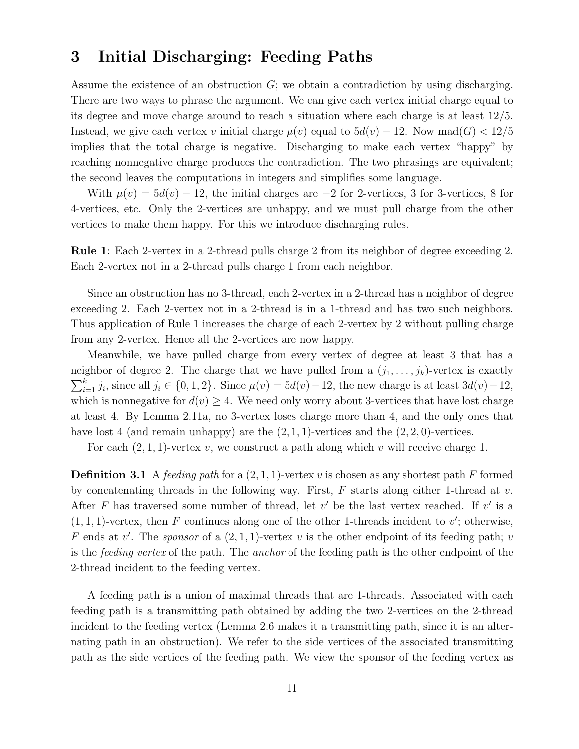### 3 Initial Discharging: Feeding Paths

Assume the existence of an obstruction  $G$ ; we obtain a contradiction by using discharging. There are two ways to phrase the argument. We can give each vertex initial charge equal to its degree and move charge around to reach a situation where each charge is at least 12/5. Instead, we give each vertex v initial charge  $\mu(v)$  equal to  $5d(v) - 12$ . Now mad $(G) < 12/5$ implies that the total charge is negative. Discharging to make each vertex "happy" by reaching nonnegative charge produces the contradiction. The two phrasings are equivalent; the second leaves the computations in integers and simplifies some language.

With  $\mu(v) = 5d(v) - 12$ , the initial charges are  $-2$  for 2-vertices, 3 for 3-vertices, 8 for 4-vertices, etc. Only the 2-vertices are unhappy, and we must pull charge from the other vertices to make them happy. For this we introduce discharging rules.

Rule 1: Each 2-vertex in a 2-thread pulls charge 2 from its neighbor of degree exceeding 2. Each 2-vertex not in a 2-thread pulls charge 1 from each neighbor.

Since an obstruction has no 3-thread, each 2-vertex in a 2-thread has a neighbor of degree exceeding 2. Each 2-vertex not in a 2-thread is in a 1-thread and has two such neighbors. Thus application of Rule 1 increases the charge of each 2-vertex by 2 without pulling charge from any 2-vertex. Hence all the 2-vertices are now happy.

Meanwhile, we have pulled charge from every vertex of degree at least 3 that has a neighbor of degree 2. The charge that we have pulled from a  $(j_1, \ldots, j_k)$ -vertex is exactly  $\sum_{i=1}^{k} j_i$ , since all  $j_i \in \{0, 1, 2\}$ . Since  $\mu(v) = 5d(v) - 12$ , the new charge is at least  $3d(v) - 12$ , which is nonnegative for  $d(v) \geq 4$ . We need only worry about 3-vertices that have lost charge at least 4. By Lemma 2.11a, no 3-vertex loses charge more than 4, and the only ones that have lost 4 (and remain unhappy) are the  $(2, 1, 1)$ -vertices and the  $(2, 2, 0)$ -vertices.

For each  $(2, 1, 1)$ -vertex v, we construct a path along which v will receive charge 1.

**Definition 3.1** A feeding path for a  $(2, 1, 1)$ -vertex v is chosen as any shortest path F formed by concatenating threads in the following way. First,  $F$  starts along either 1-thread at v. After F has traversed some number of thread, let  $v'$  be the last vertex reached. If  $v'$  is a  $(1, 1, 1)$ -vertex, then F continues along one of the other 1-threads incident to v'; otherwise, F ends at v'. The sponsor of a  $(2,1,1)$ -vertex v is the other endpoint of its feeding path; v is the *feeding vertex* of the path. The *anchor* of the feeding path is the other endpoint of the 2-thread incident to the feeding vertex.

A feeding path is a union of maximal threads that are 1-threads. Associated with each feeding path is a transmitting path obtained by adding the two 2-vertices on the 2-thread incident to the feeding vertex (Lemma 2.6 makes it a transmitting path, since it is an alternating path in an obstruction). We refer to the side vertices of the associated transmitting path as the side vertices of the feeding path. We view the sponsor of the feeding vertex as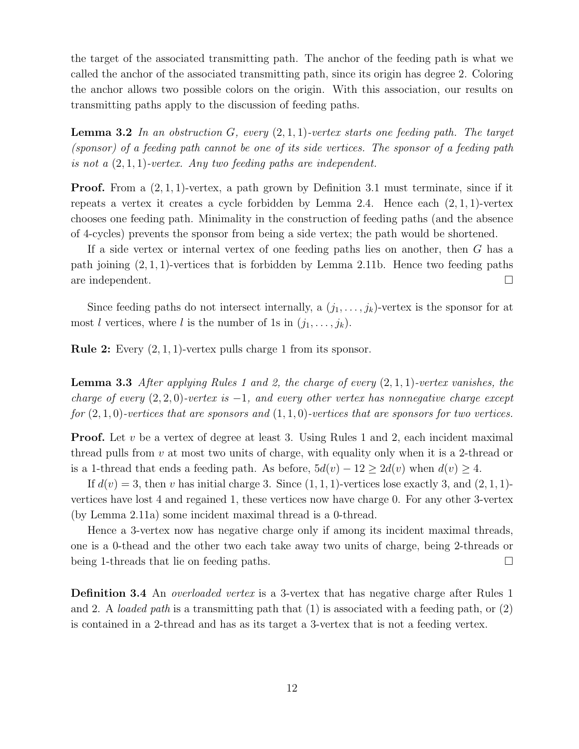the target of the associated transmitting path. The anchor of the feeding path is what we called the anchor of the associated transmitting path, since its origin has degree 2. Coloring the anchor allows two possible colors on the origin. With this association, our results on transmitting paths apply to the discussion of feeding paths.

**Lemma 3.2** In an obstruction  $G$ , every  $(2, 1, 1)$ -vertex starts one feeding path. The target (sponsor) of a feeding path cannot be one of its side vertices. The sponsor of a feeding path is not a  $(2, 1, 1)$ -vertex. Any two feeding paths are independent.

**Proof.** From a  $(2, 1, 1)$ -vertex, a path grown by Definition 3.1 must terminate, since if it repeats a vertex it creates a cycle forbidden by Lemma 2.4. Hence each  $(2,1,1)$ -vertex chooses one feeding path. Minimality in the construction of feeding paths (and the absence of 4-cycles) prevents the sponsor from being a side vertex; the path would be shortened.

If a side vertex or internal vertex of one feeding paths lies on another, then G has a path joining  $(2, 1, 1)$ -vertices that is forbidden by Lemma 2.11b. Hence two feeding paths are independent.

Since feeding paths do not intersect internally, a  $(j_1, \ldots, j_k)$ -vertex is the sponsor for at most *l* vertices, where *l* is the number of 1s in  $(j_1, \ldots, j_k)$ .

**Rule 2:** Every  $(2, 1, 1)$ -vertex pulls charge 1 from its sponsor.

**Lemma 3.3** After applying Rules 1 and 2, the charge of every  $(2, 1, 1)$ -vertex vanishes, the charge of every  $(2, 2, 0)$ -vertex is  $-1$ , and every other vertex has nonnegative charge except for  $(2, 1, 0)$ -vertices that are sponsors and  $(1, 1, 0)$ -vertices that are sponsors for two vertices.

**Proof.** Let  $v$  be a vertex of degree at least 3. Using Rules 1 and 2, each incident maximal thread pulls from  $v$  at most two units of charge, with equality only when it is a 2-thread or is a 1-thread that ends a feeding path. As before,  $5d(v) - 12 \ge 2d(v)$  when  $d(v) \ge 4$ .

If  $d(v) = 3$ , then v has initial charge 3. Since  $(1, 1, 1)$ -vertices lose exactly 3, and  $(2, 1, 1)$ vertices have lost 4 and regained 1, these vertices now have charge 0. For any other 3-vertex (by Lemma 2.11a) some incident maximal thread is a 0-thread.

Hence a 3-vertex now has negative charge only if among its incident maximal threads, one is a 0-thead and the other two each take away two units of charge, being 2-threads or being 1-threads that lie on feeding paths.

Definition 3.4 An overloaded vertex is a 3-vertex that has negative charge after Rules 1 and 2. A loaded path is a transmitting path that  $(1)$  is associated with a feeding path, or  $(2)$ is contained in a 2-thread and has as its target a 3-vertex that is not a feeding vertex.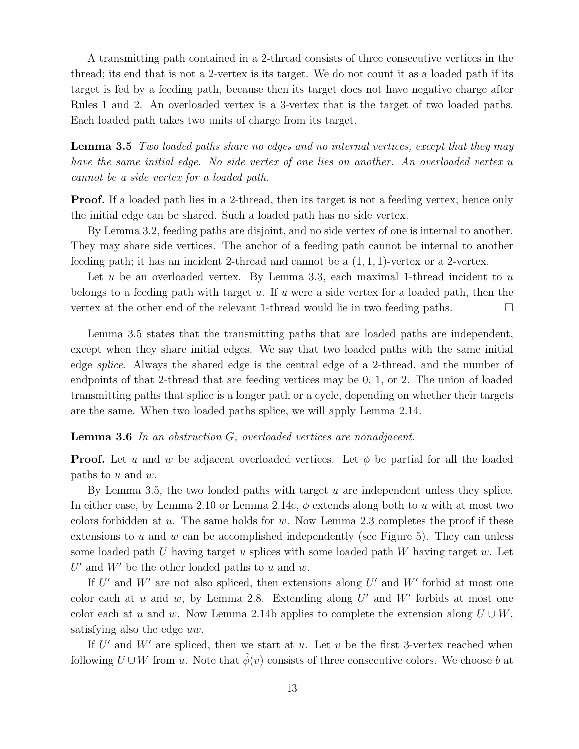A transmitting path contained in a 2-thread consists of three consecutive vertices in the thread; its end that is not a 2-vertex is its target. We do not count it as a loaded path if its target is fed by a feeding path, because then its target does not have negative charge after Rules 1 and 2. An overloaded vertex is a 3-vertex that is the target of two loaded paths. Each loaded path takes two units of charge from its target.

Lemma 3.5 Two loaded paths share no edges and no internal vertices, except that they may have the same initial edge. No side vertex of one lies on another. An overloaded vertex u cannot be a side vertex for a loaded path.

Proof. If a loaded path lies in a 2-thread, then its target is not a feeding vertex; hence only the initial edge can be shared. Such a loaded path has no side vertex.

By Lemma 3.2, feeding paths are disjoint, and no side vertex of one is internal to another. They may share side vertices. The anchor of a feeding path cannot be internal to another feeding path; it has an incident 2-thread and cannot be a  $(1, 1, 1)$ -vertex or a 2-vertex.

Let u be an overloaded vertex. By Lemma 3.3, each maximal 1-thread incident to  $u$ belongs to a feeding path with target u. If u were a side vertex for a loaded path, then the vertex at the other end of the relevant 1-thread would lie in two feeding paths.

Lemma 3.5 states that the transmitting paths that are loaded paths are independent, except when they share initial edges. We say that two loaded paths with the same initial edge splice. Always the shared edge is the central edge of a 2-thread, and the number of endpoints of that 2-thread that are feeding vertices may be 0, 1, or 2. The union of loaded transmitting paths that splice is a longer path or a cycle, depending on whether their targets are the same. When two loaded paths splice, we will apply Lemma 2.14.

Lemma 3.6 In an obstruction G, overloaded vertices are nonadjacent.

**Proof.** Let u and w be adjacent overloaded vertices. Let  $\phi$  be partial for all the loaded paths to  $u$  and  $w$ .

By Lemma 3.5, the two loaded paths with target  $u$  are independent unless they splice. In either case, by Lemma 2.10 or Lemma 2.14c,  $\phi$  extends along both to u with at most two colors forbidden at u. The same holds for w. Now Lemma 2.3 completes the proof if these extensions to u and w can be accomplished independently (see Figure 5). They can unless some loaded path U having target u splices with some loaded path W having target w. Let  $U'$  and  $W'$  be the other loaded paths to  $u$  and  $w$ .

If  $U'$  and  $W'$  are not also spliced, then extensions along  $U'$  and  $W'$  forbid at most one color each at  $u$  and  $w$ , by Lemma 2.8. Extending along  $U'$  and  $W'$  forbids at most one color each at u and w. Now Lemma 2.14b applies to complete the extension along  $U \cup W$ , satisfying also the edge uw.

If  $U'$  and  $W'$  are spliced, then we start at u. Let v be the first 3-vertex reached when following  $U \cup W$  from u. Note that  $\hat{\phi}(v)$  consists of three consecutive colors. We choose b at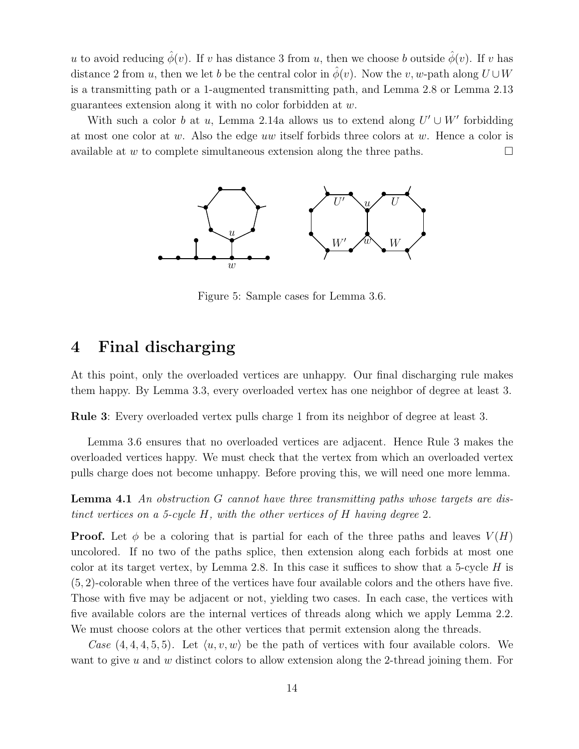u to avoid reducing  $\hat{\phi}(v)$ . If v has distance 3 from u, then we choose b outside  $\hat{\phi}(v)$ . If v has distance 2 from u, then we let b be the central color in  $\phi(v)$ . Now the v, w-path along  $U \cup W$ is a transmitting path or a 1-augmented transmitting path, and Lemma 2.8 or Lemma 2.13 guarantees extension along it with no color forbidden at w.

With such a color b at u, Lemma 2.14a allows us to extend along  $U' \cup W'$  forbidding at most one color at w. Also the edge uw itself forbids three colors at w. Hence a color is available at w to complete simultaneous extension along the three paths.  $\Box$ 



Figure 5: Sample cases for Lemma 3.6.

## 4 Final discharging

At this point, only the overloaded vertices are unhappy. Our final discharging rule makes them happy. By Lemma 3.3, every overloaded vertex has one neighbor of degree at least 3.

Rule 3: Every overloaded vertex pulls charge 1 from its neighbor of degree at least 3.

Lemma 3.6 ensures that no overloaded vertices are adjacent. Hence Rule 3 makes the overloaded vertices happy. We must check that the vertex from which an overloaded vertex pulls charge does not become unhappy. Before proving this, we will need one more lemma.

Lemma 4.1 An obstruction G cannot have three transmitting paths whose targets are distinct vertices on a 5-cycle H, with the other vertices of H having degree 2.

**Proof.** Let  $\phi$  be a coloring that is partial for each of the three paths and leaves  $V(H)$ uncolored. If no two of the paths splice, then extension along each forbids at most one color at its target vertex, by Lemma 2.8. In this case it suffices to show that a 5-cycle  $H$  is (5, 2)-colorable when three of the vertices have four available colors and the others have five. Those with five may be adjacent or not, yielding two cases. In each case, the vertices with five available colors are the internal vertices of threads along which we apply Lemma 2.2. We must choose colors at the other vertices that permit extension along the threads.

Case  $(4, 4, 4, 5, 5)$ . Let  $\langle u, v, w \rangle$  be the path of vertices with four available colors. We want to give u and w distinct colors to allow extension along the 2-thread joining them. For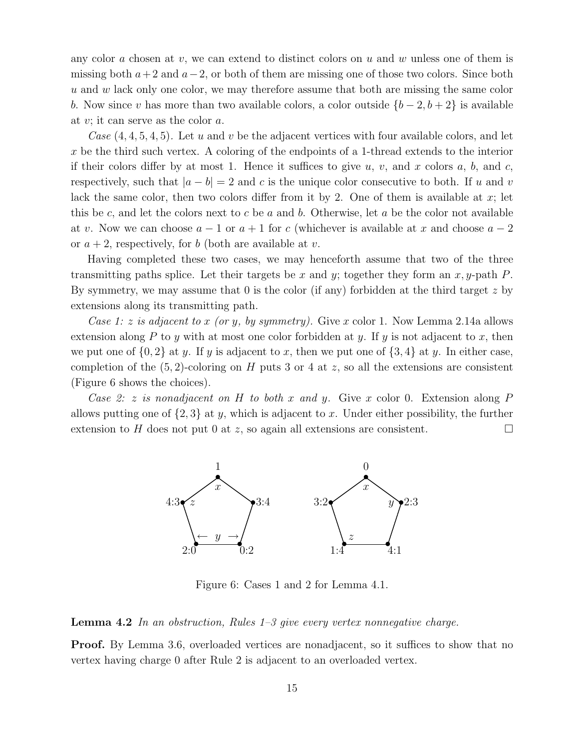any color a chosen at v, we can extend to distinct colors on u and w unless one of them is missing both  $a+2$  and  $a-2$ , or both of them are missing one of those two colors. Since both u and w lack only one color, we may therefore assume that both are missing the same color b. Now since v has more than two available colors, a color outside  $\{b-2, b+2\}$  is available at v; it can serve as the color a.

Case  $(4, 4, 5, 4, 5)$ . Let u and v be the adjacent vertices with four available colors, and let x be the third such vertex. A coloring of the endpoints of a 1-thread extends to the interior if their colors differ by at most 1. Hence it suffices to give  $u, v,$  and  $x$  colors  $a, b,$  and  $c,$ respectively, such that  $|a - b| = 2$  and c is the unique color consecutive to both. If u and v lack the same color, then two colors differ from it by 2. One of them is available at  $x$ ; let this be c, and let the colors next to c be a and b. Otherwise, let a be the color not available at v. Now we can choose  $a - 1$  or  $a + 1$  for c (whichever is available at x and choose  $a - 2$ or  $a + 2$ , respectively, for b (both are available at v.

Having completed these two cases, we may henceforth assume that two of the three transmitting paths splice. Let their targets be x and y; together they form an  $x, y$ -path P. By symmetry, we may assume that  $\theta$  is the color (if any) forbidden at the third target z by extensions along its transmitting path.

Case 1: z is adjacent to x (or y, by symmetry). Give x color 1. Now Lemma 2.14a allows extension along P to y with at most one color forbidden at y. If y is not adjacent to x, then we put one of  $\{0,2\}$  at y. If y is adjacent to x, then we put one of  $\{3,4\}$  at y. In either case, completion of the  $(5, 2)$ -coloring on H puts 3 or 4 at z, so all the extensions are consistent (Figure 6 shows the choices).

Case 2: z is nonadjacent on H to both x and y. Give x color 0. Extension along P allows putting one of  $\{2,3\}$  at y, which is adjacent to x. Under either possibility, the further extension to H does not put 0 at z, so again all extensions are consistent.



Figure 6: Cases 1 and 2 for Lemma 4.1.

**Lemma 4.2** In an obstruction, Rules  $1-3$  give every vertex nonnegative charge.

**Proof.** By Lemma 3.6, overloaded vertices are nonadjacent, so it suffices to show that no vertex having charge 0 after Rule 2 is adjacent to an overloaded vertex.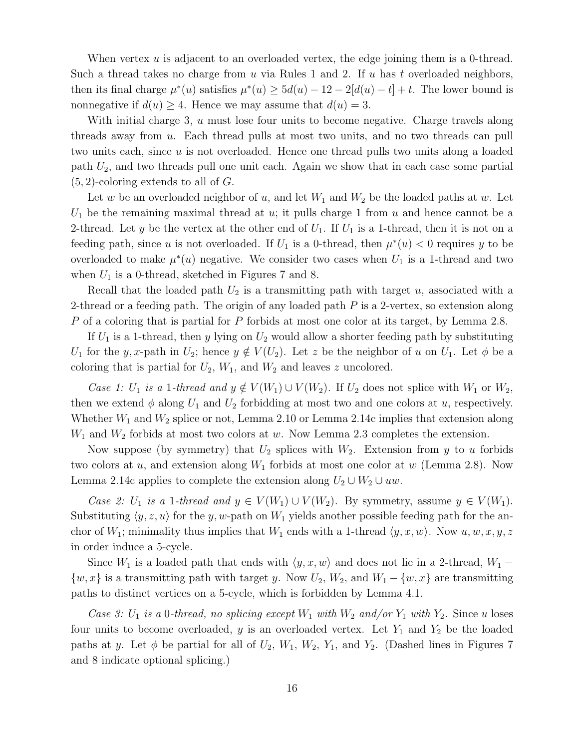When vertex  $u$  is adjacent to an overloaded vertex, the edge joining them is a 0-thread. Such a thread takes no charge from  $u$  via Rules 1 and 2. If  $u$  has  $t$  overloaded neighbors, then its final charge  $\mu^*(u)$  satisfies  $\mu^*(u) \ge 5d(u) - 12 - 2[d(u) - t] + t$ . The lower bound is nonnegative if  $d(u) \geq 4$ . Hence we may assume that  $d(u) = 3$ .

With initial charge 3, u must lose four units to become negative. Charge travels along threads away from u. Each thread pulls at most two units, and no two threads can pull two units each, since  $u$  is not overloaded. Hence one thread pulls two units along a loaded path  $U_2$ , and two threads pull one unit each. Again we show that in each case some partial  $(5, 2)$ -coloring extends to all of G.

Let w be an overloaded neighbor of u, and let  $W_1$  and  $W_2$  be the loaded paths at w. Let  $U_1$  be the remaining maximal thread at u; it pulls charge 1 from u and hence cannot be a 2-thread. Let y be the vertex at the other end of  $U_1$ . If  $U_1$  is a 1-thread, then it is not on a feeding path, since u is not overloaded. If  $U_1$  is a 0-thread, then  $\mu^*(u) < 0$  requires y to be overloaded to make  $\mu^*(u)$  negative. We consider two cases when  $U_1$  is a 1-thread and two when  $U_1$  is a 0-thread, sketched in Figures 7 and 8.

Recall that the loaded path  $U_2$  is a transmitting path with target u, associated with a 2-thread or a feeding path. The origin of any loaded path  $P$  is a 2-vertex, so extension along P of a coloring that is partial for P forbids at most one color at its target, by Lemma 2.8.

If  $U_1$  is a 1-thread, then y lying on  $U_2$  would allow a shorter feeding path by substituting  $U_1$  for the y, x-path in  $U_2$ ; hence  $y \notin V(U_2)$ . Let z be the neighbor of u on  $U_1$ . Let  $\phi$  be a coloring that is partial for  $U_2$ ,  $W_1$ , and  $W_2$  and leaves z uncolored.

Case 1: U<sub>1</sub> is a 1-thread and  $y \notin V(W_1) \cup V(W_2)$ . If U<sub>2</sub> does not splice with  $W_1$  or  $W_2$ , then we extend  $\phi$  along  $U_1$  and  $U_2$  forbidding at most two and one colors at u, respectively. Whether  $W_1$  and  $W_2$  splice or not, Lemma 2.10 or Lemma 2.14c implies that extension along  $W_1$  and  $W_2$  forbids at most two colors at w. Now Lemma 2.3 completes the extension.

Now suppose (by symmetry) that  $U_2$  splices with  $W_2$ . Extension from y to u forbids two colors at u, and extension along  $W_1$  forbids at most one color at w (Lemma 2.8). Now Lemma 2.14c applies to complete the extension along  $U_2 \cup W_2 \cup uw$ .

Case 2: U<sub>1</sub> is a 1-thread and  $y \in V(W_1) \cup V(W_2)$ . By symmetry, assume  $y \in V(W_1)$ . Substituting  $\langle y, z, u \rangle$  for the y, w-path on  $W_1$  yields another possible feeding path for the anchor of  $W_1$ ; minimality thus implies that  $W_1$  ends with a 1-thread  $\langle y, x, w \rangle$ . Now  $u, w, x, y, z$ in order induce a 5-cycle.

Since  $W_1$  is a loaded path that ends with  $\langle y, x, w \rangle$  and does not lie in a 2-thread,  $W_1$  −  $\{w, x\}$  is a transmitting path with target y. Now  $U_2$ ,  $W_2$ , and  $W_1 - \{w, x\}$  are transmitting paths to distinct vertices on a 5-cycle, which is forbidden by Lemma 4.1.

Case 3:  $U_1$  is a 0-thread, no splicing except  $W_1$  with  $W_2$  and/or  $Y_1$  with  $Y_2$ . Since u loses four units to become overloaded, y is an overloaded vertex. Let  $Y_1$  and  $Y_2$  be the loaded paths at y. Let  $\phi$  be partial for all of  $U_2$ ,  $W_1$ ,  $W_2$ ,  $Y_1$ , and  $Y_2$ . (Dashed lines in Figures 7 and 8 indicate optional splicing.)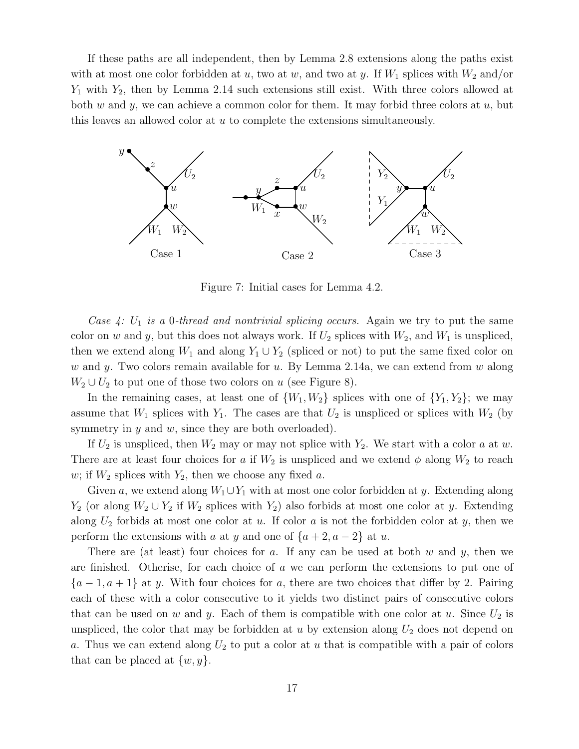If these paths are all independent, then by Lemma 2.8 extensions along the paths exist with at most one color forbidden at u, two at w, and two at y. If  $W_1$  splices with  $W_2$  and/or  $Y_1$  with  $Y_2$ , then by Lemma 2.14 such extensions still exist. With three colors allowed at both w and y, we can achieve a common color for them. It may forbid three colors at  $u$ , but this leaves an allowed color at u to complete the extensions simultaneously.



Figure 7: Initial cases for Lemma 4.2.

Case  $4: U_1$  is a 0-thread and nontrivial splicing occurs. Again we try to put the same color on w and y, but this does not always work. If  $U_2$  splices with  $W_2$ , and  $W_1$  is unspliced, then we extend along  $W_1$  and along  $Y_1 \cup Y_2$  (spliced or not) to put the same fixed color on w and y. Two colors remain available for  $u$ . By Lemma 2.14a, we can extend from  $w$  along  $W_2 \cup U_2$  to put one of those two colors on u (see Figure 8).

In the remaining cases, at least one of  $\{W_1, W_2\}$  splices with one of  $\{Y_1, Y_2\}$ ; we may assume that  $W_1$  splices with  $Y_1$ . The cases are that  $U_2$  is unspliced or splices with  $W_2$  (by symmetry in  $y$  and  $w$ , since they are both overloaded).

If  $U_2$  is unspliced, then  $W_2$  may or may not splice with  $Y_2$ . We start with a color a at w. There are at least four choices for a if  $W_2$  is unspliced and we extend  $\phi$  along  $W_2$  to reach w; if  $W_2$  splices with  $Y_2$ , then we choose any fixed a.

Given a, we extend along  $W_1 \cup Y_1$  with at most one color forbidden at y. Extending along  $Y_2$  (or along  $W_2 \cup Y_2$  if  $W_2$  splices with  $Y_2$ ) also forbids at most one color at y. Extending along  $U_2$  forbids at most one color at u. If color a is not the forbidden color at y, then we perform the extensions with a at y and one of  $\{a+2, a-2\}$  at u.

There are (at least) four choices for a. If any can be used at both  $w$  and  $y$ , then we are finished. Otherise, for each choice of  $\alpha$  we can perform the extensions to put one of  ${a-1, a+1}$  at y. With four choices for a, there are two choices that differ by 2. Pairing each of these with a color consecutive to it yields two distinct pairs of consecutive colors that can be used on w and y. Each of them is compatible with one color at u. Since  $U_2$  is unspliced, the color that may be forbidden at u by extension along  $U_2$  does not depend on a. Thus we can extend along  $U_2$  to put a color at u that is compatible with a pair of colors that can be placed at  $\{w, y\}.$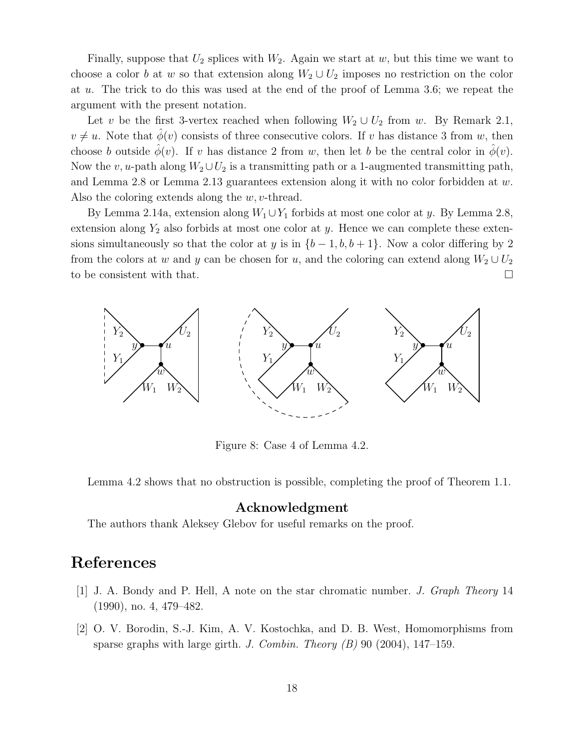Finally, suppose that  $U_2$  splices with  $W_2$ . Again we start at w, but this time we want to choose a color b at w so that extension along  $W_2 \cup U_2$  imposes no restriction on the color at u. The trick to do this was used at the end of the proof of Lemma 3.6; we repeat the argument with the present notation.

Let v be the first 3-vertex reached when following  $W_2 \cup U_2$  from w. By Remark 2.1,  $v \neq u$ . Note that  $\hat{\phi}(v)$  consists of three consecutive colors. If v has distance 3 from w, then choose b outside  $\hat{\phi}(v)$ . If v has distance 2 from w, then let b be the central color in  $\hat{\phi}(v)$ . Now the v, u-path along  $W_2 \cup U_2$  is a transmitting path or a 1-augmented transmitting path, and Lemma 2.8 or Lemma 2.13 guarantees extension along it with no color forbidden at w. Also the coloring extends along the  $w, v$ -thread.

By Lemma 2.14a, extension along  $W_1 \cup Y_1$  forbids at most one color at y. By Lemma 2.8, extension along  $Y_2$  also forbids at most one color at y. Hence we can complete these extensions simultaneously so that the color at y is in  $\{b-1, b, b+1\}$ . Now a color differing by 2 from the colors at w and y can be chosen for u, and the coloring can extend along  $W_2 \cup U_2$ to be consistent with that.



Figure 8: Case 4 of Lemma 4.2.

Lemma 4.2 shows that no obstruction is possible, completing the proof of Theorem 1.1.

### Acknowledgment

The authors thank Aleksey Glebov for useful remarks on the proof.

### References

- [1] J. A. Bondy and P. Hell, A note on the star chromatic number. J. Graph Theory 14 (1990), no. 4, 479–482.
- [2] O. V. Borodin, S.-J. Kim, A. V. Kostochka, and D. B. West, Homomorphisms from sparse graphs with large girth. J. Combin. Theory  $(B)$  90 (2004), 147–159.